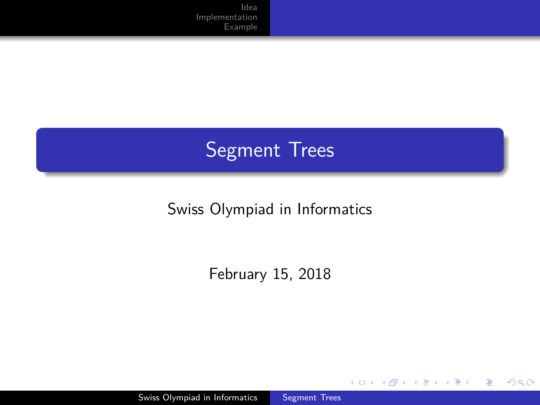# Segment Trees

#### Swiss Olympiad in Informatics

February 15, 2018

E

∍  $\mathbf{h}$ 

( □ ) ( / / ) {

 $\rightarrow$ 

<span id="page-0-0"></span> $299$ 

Swiss Olympiad in Informatics [Segment Trees](#page-29-0)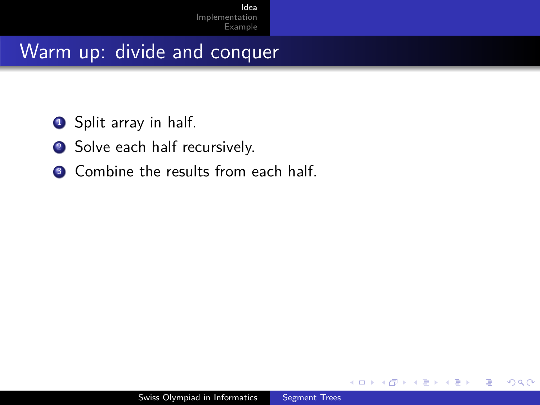- **1** Split array in half.
- <sup>2</sup> Solve each half recursively.
- <sup>3</sup> Combine the results from each half.

<span id="page-1-0"></span> $\Omega$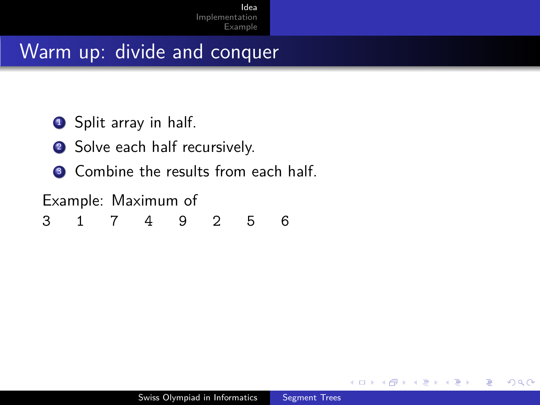**1** Split array in half.

- <sup>2</sup> Solve each half recursively.
- <sup>3</sup> Combine the results from each half.

Example: Maximum of

3 1 7 4 9 2 5 6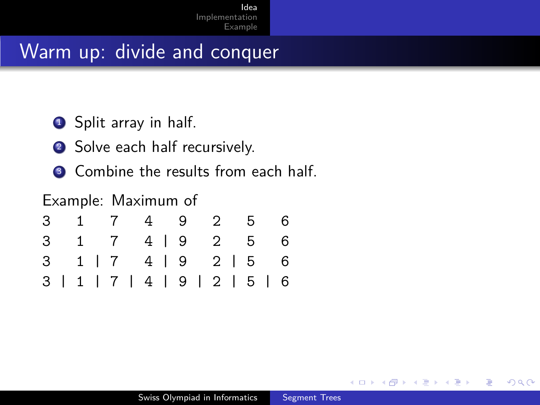**1** Split array in half.

- <sup>2</sup> Solve each half recursively.
- <sup>3</sup> Combine the results from each half.

#### Example: Maximum of

|  |  |  |  |  |  |  | 3 1 7 4 9 2 5 6               |
|--|--|--|--|--|--|--|-------------------------------|
|  |  |  |  |  |  |  | 3 1 7 4   9 2 5 6             |
|  |  |  |  |  |  |  | 3 1   7 4   9 2   5 6         |
|  |  |  |  |  |  |  | 3   1   7   4   9   2   5   6 |

 $QQ$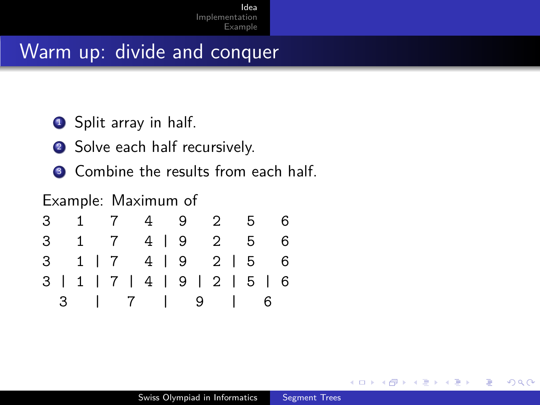**1** Split array in half.

- <sup>2</sup> Solve each half recursively.
- <sup>3</sup> Combine the results from each half.

#### Example: Maximum of

|  |  |  | 3 1 7 4 9 2 5 6               |  |  |  |  |
|--|--|--|-------------------------------|--|--|--|--|
|  |  |  | 3 1 7 4   9 2 5 6             |  |  |  |  |
|  |  |  | $3$ 1   7 4   9 2   5 6       |  |  |  |  |
|  |  |  | 3   1   7   4   9   2   5   6 |  |  |  |  |
|  |  |  | 3   7   9   6                 |  |  |  |  |

 $QQ$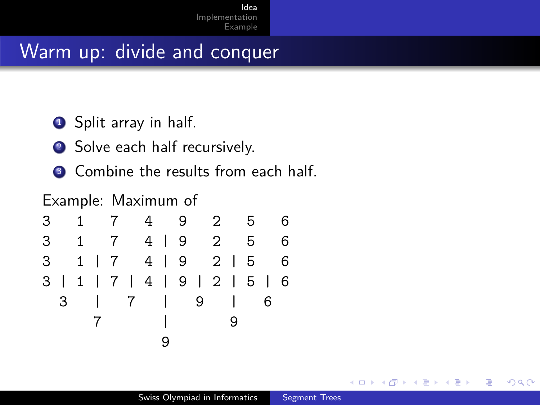**1** Split array in half.

- **2** Solve each half recursively.
- <sup>3</sup> Combine the results from each half.

#### Example: Maximum of

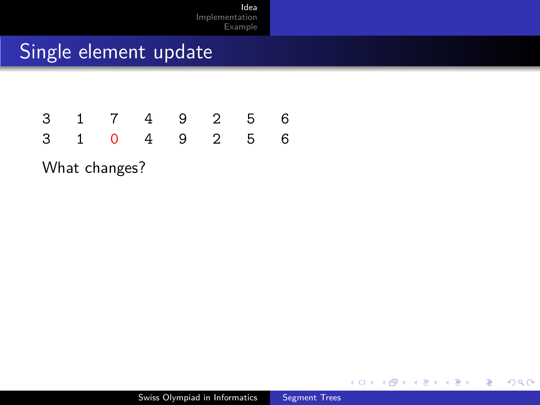#### Single element update

|  |  | 3 1 7 4 9 2 5 6 |  |
|--|--|-----------------|--|
|  |  | 3 1 0 4 9 2 5 6 |  |

What changes?

 $\leftarrow$ 

 $\rightarrow$  $\mathcal{A}$ **SIL** ×

冊

Ξ

E

∍  $\,$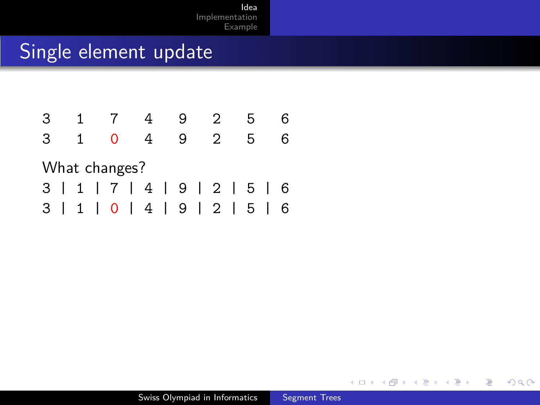| 3 |               |   |  |   |  |   |  | 9 |  | 2                             |  | ٠h |  |   |
|---|---------------|---|--|---|--|---|--|---|--|-------------------------------|--|----|--|---|
| 3 |               | 1 |  | Ω |  | 4 |  | 9 |  | $\overline{2}$                |  | 5  |  | 6 |
|   | What changes? |   |  |   |  |   |  |   |  |                               |  |    |  |   |
|   |               |   |  |   |  |   |  |   |  | 3   1   7   4   9   2   5   6 |  |    |  |   |
|   |               |   |  |   |  |   |  |   |  | 3   1   0   4   9   2   5     |  |    |  | 6 |

4日)

4 冊 ▶

Ξ

×

E

≣

-b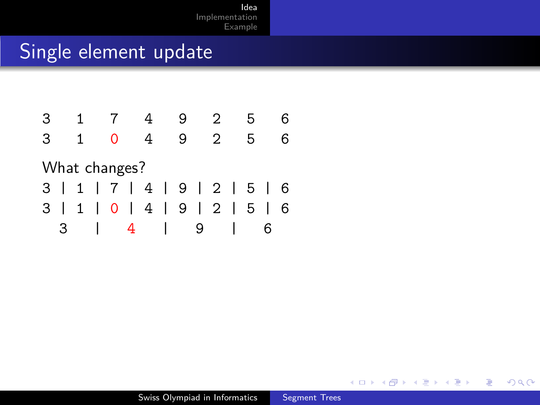| 3 |               |    |  |   |   |   |  | 9 |   | 2                             |  |   |   |   |
|---|---------------|----|--|---|---|---|--|---|---|-------------------------------|--|---|---|---|
| З |               | 1. |  | 0 |   | 4 |  | 9 |   | 2                             |  | 5 |   |   |
|   | What changes? |    |  |   |   |   |  |   |   |                               |  |   |   |   |
|   |               |    |  |   |   |   |  |   |   | 3   1   7   4   9   2   5   6 |  |   |   |   |
|   |               |    |  |   |   |   |  |   |   | 3   1   0   4   9   2   5     |  |   |   | 6 |
|   | 3             |    |  |   | 4 |   |  |   | 9 |                               |  |   | 6 |   |

E

경제  $\rightarrow$  $\prec$ 

**K ロ ▶ K 御 ▶ K ミ**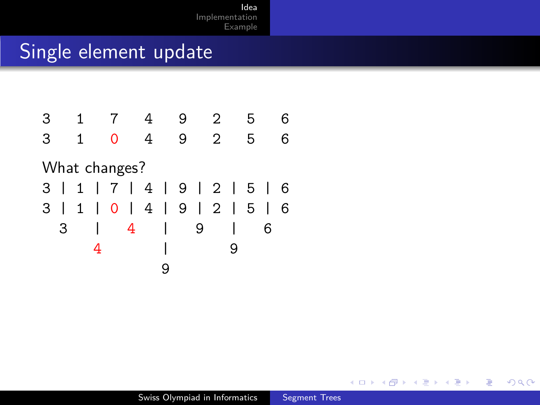

4日下

4 冊 ▶

э

 $\left($  $\sim$  э  $\,$  E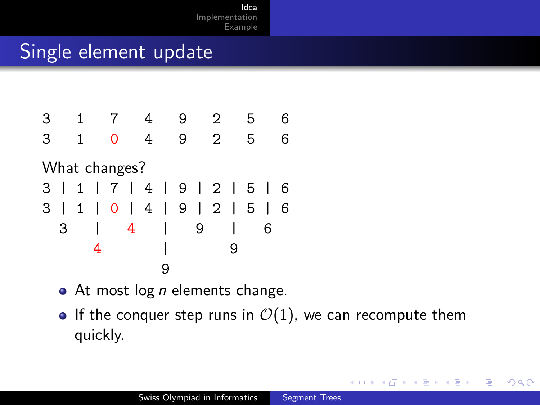

- $\bullet$  At most log *n* elements change.
- If the conquer step runs in  $\mathcal{O}(1)$ , we can recompute them quickly.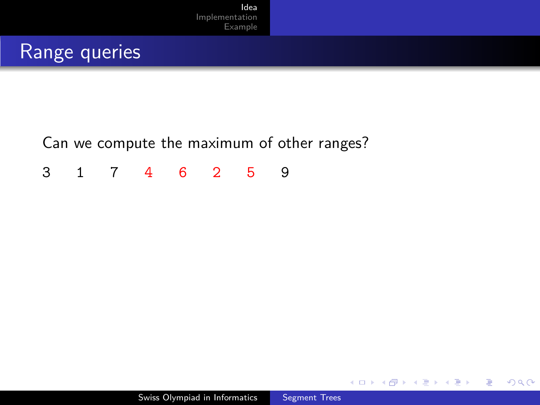#### Range queries

Can we compute the maximum of other ranges?

3 1 7 4 6 2 5 9

4日下

④ 骨 → ④ 手

E

Э× **Inches**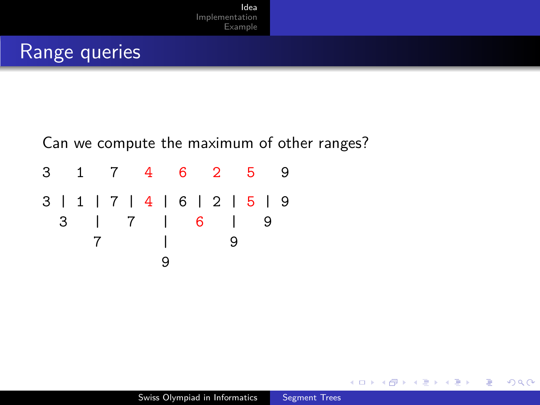# Range queries

#### Can we compute the maximum of other ranges?

3 1 7 4 6 2 5 9 3 | 1 | 7 | 4 | 6 | 2 | 5 | 9 3 | 7 | 6 | 9 7 | 9 9

E

∍

Пb.

∢母

**A 177 16**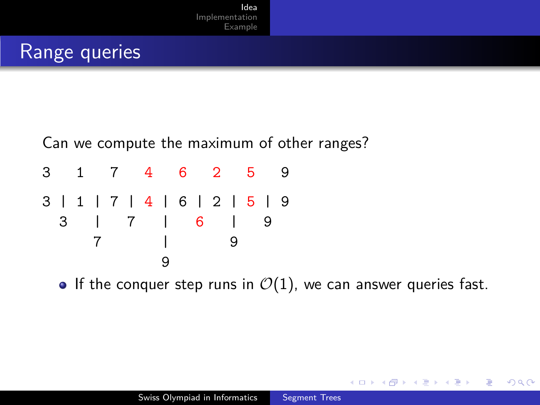# Range queries

Can we compute the maximum of other ranges?

|  |  |  | 3 1 7 4 6 2 5                              |  |  |  |  |  |
|--|--|--|--------------------------------------------|--|--|--|--|--|
|  |  |  | 3   1   7   4   6   2   5   9<br>3   7   6 |  |  |  |  |  |
|  |  |  |                                            |  |  |  |  |  |
|  |  |  |                                            |  |  |  |  |  |

If the conquer step runs in  $\mathcal{O}(1)$ , we can answer queries fast.

 $QQ$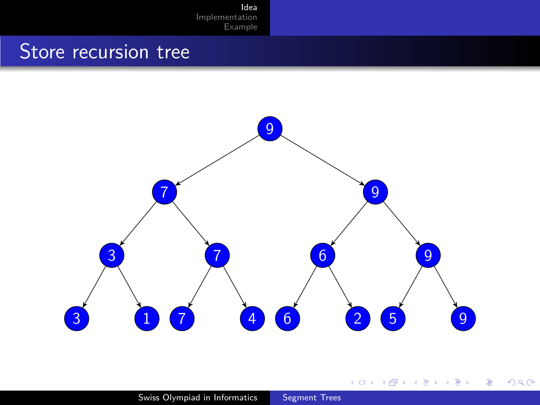#### Store recursion tree



지금 9 E  $299$ 

**K ロ ト K 御 ト K 店** 

 $\mathbb{R}^n$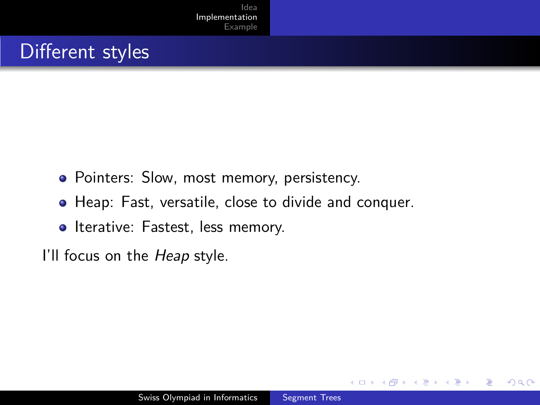# Different styles

- Pointers: Slow, most memory, persistency.
- Heap: Fast, versatile, close to divide and conquer.
- Iterative: Fastest, less memory.

I'll focus on the *Heap* style.

<span id="page-15-0"></span> $\Omega$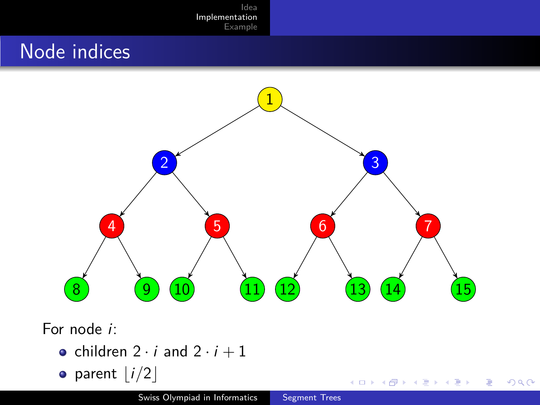# Node indices



 $\leftarrow$   $\Box$   $\rightarrow$ 

冊

×  $\rightarrow$ × Ξ

E

Ε  $\,$  つくへ

For node i:

- children  $2 \cdot i$  and  $2 \cdot i + 1$
- parent  $\vert i/2\vert$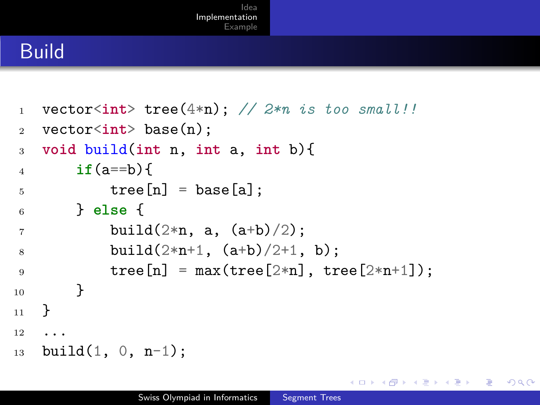#### Build

```
1 vector<int> tree(4*n); // 2*n is too small!!
2 vector<int> base(n);
3 void build(int n, int a, int b){
4 if(a == b)5 tree[n] = base[a]:
6 } else {
7 \t\t\t \text{build}(2*n, a, (a+b)/2);8 build(2*n+1, (a+b)/2+1, b);9 \text{tree}[n] = \max(\text{tree}[2*n], \text{tree}[2*n+1]);10 }
11 }
12 \cdot \ldots13 build(1, 0, n-1);
```
 $\Omega$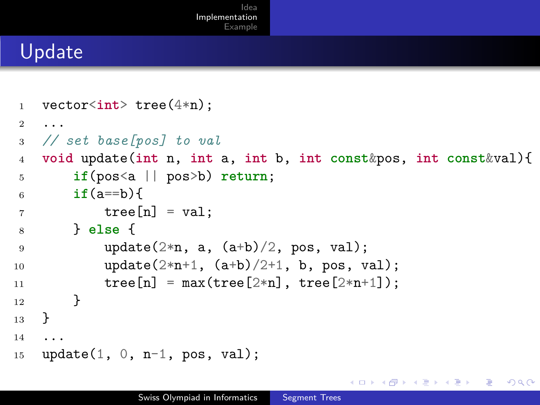#### Update

```
1 vector<int> tree(4*n);
2 ...
3 // set base[pos] to val
4 void update(int n, int a, int b, int const&pos, int const&val){
5 if(pos<a || pos>b) return;
6 if (a == b) {
7 \text{ tree}[n] = val;8 } else {
9 update(2*n, a, (a+b)/2, pos, val);10 \text{update}(2*n+1, (a+b)/2+1, b, pos, val);11 \text{tree}[n] = \max(\text{tree}[2*n], \text{tree}[2*n+1]);12 }
13 \frac{1}{2}14 ...
15 update(1, 0, n-1, pos, val);
                                                              200
```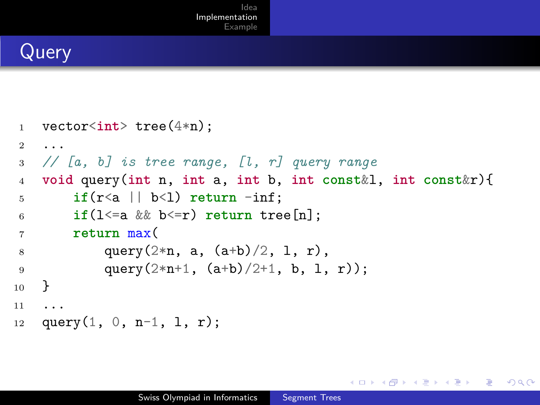# **Query**

```
1 vector<int> tree(4*n);
2 ...
3 // [a, b] is tree range, [l, r] query range
4 void query(int n, int a, int b, int const&l, int const&r){
5 if(r<a || b<1) return -inf;
6 if(l<=a && b<=r) return tree[n];
7 return max(
8 \text{ query}(2*n, a, (a+b)/2, 1, r),9 query(2*n+1, (a+b)/2+1, b, l, r));
10 }
11 ...
12 query(1, 0, n-1, 1, r):
```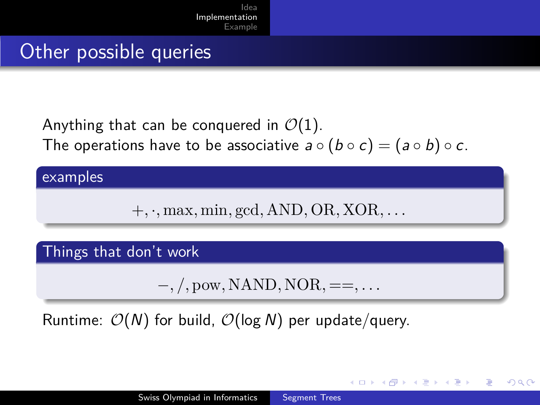#### Other possible queries

Anything that can be conquered in  $\mathcal{O}(1)$ . The operations have to be associative  $a \circ (b \circ c) = (a \circ b) \circ c$ .

#### examples

+*,* ·*,* max*,* min*,* gcd*,* AND*,* OR*,* XOR*, . . .*

#### Things that don't work

−*, /,* pow*,* NAND*,* NOR*,* ==*, . . .*

→ イラン イヨン イラン

 $200$ 

Runtime:  $\mathcal{O}(N)$  for build,  $\mathcal{O}(\log N)$  per update/query.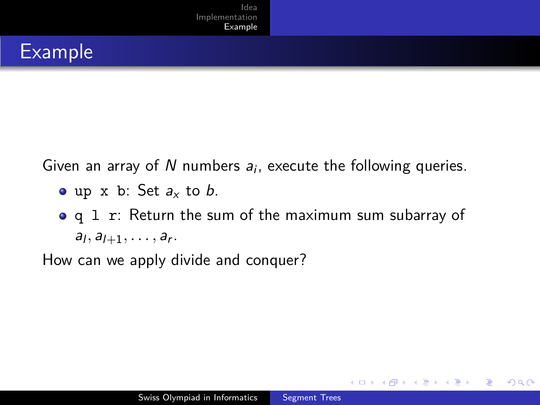# Example

Given an array of  $N$  numbers  $a_i$ , execute the following queries.

- $\bullet$  up x b: Set  $a_x$  to b.
- q 1 r: Return the sum of the maximum sum subarray of  $a_1, a_{l+1}, \ldots, a_r$ .

How can we apply divide and conquer?

<span id="page-21-0"></span> $\Omega$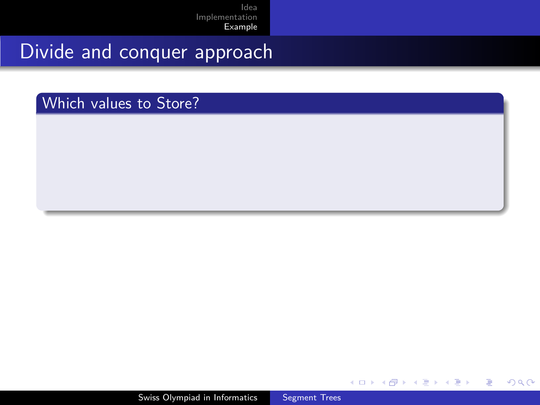# Divide and conquer approach

Which values to Store?

4日下

 $\sqrt{2}$ ∍

 $\rightarrow$ 

×.

E

∍  $\mathbf{h}$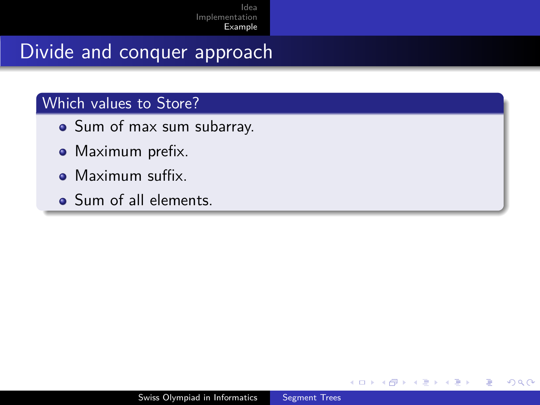# Divide and conquer approach

#### Which values to Store?

- Sum of max sum subarray.
- Maximum prefix.
- Maximum suffix.
- Sum of all elements.

∍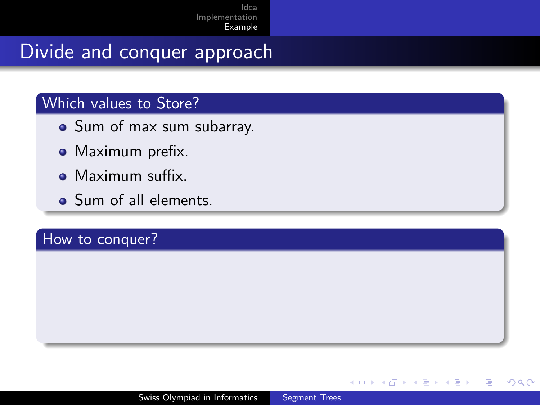# Divide and conquer approach

#### Which values to Store?

- Sum of max sum subarray.
- Maximum prefix.
- Maximum suffix.
- Sum of all elements.

#### How to conquer?

 $QQ$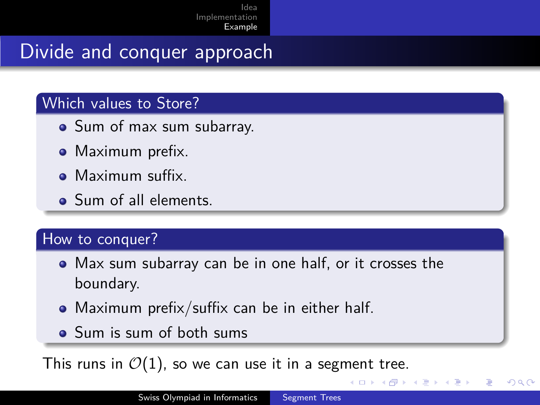# Divide and conquer approach

#### Which values to Store?

- Sum of max sum subarray.
- Maximum prefix.
- Maximum suffix.
- Sum of all elements.

#### How to conquer?

- Max sum subarray can be in one half, or it crosses the boundary.
- Maximum prefix/suffix can be in either half.
- Sum is sum of both sums

This runs in  $\mathcal{O}(1)$ , so we can use it in a segment tree.

つくい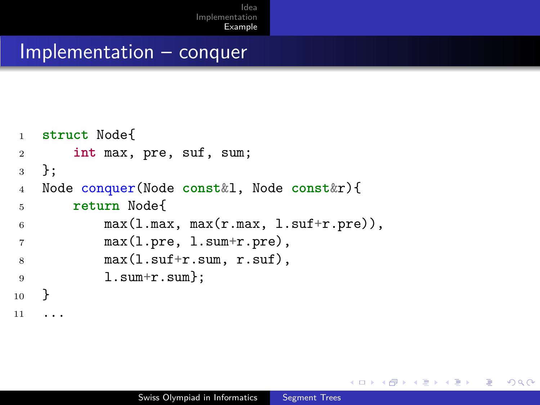#### Implementation – conquer

```
1 struct Node{
2 int max, pre, suf, sum;
3 };
4 Node conquer(Node const&l, Node const&r){
5 return Node{
6 max(1.max, max(r.max, 1.suff+r.pre)),7 max(l.pre, l.sum+r.pre),
\text{max}(1.\text{suffix}+\text{r}.\text{sum}, \text{r}.\text{suffix})9 1. sum+r. sum };
10 }
11 ...
```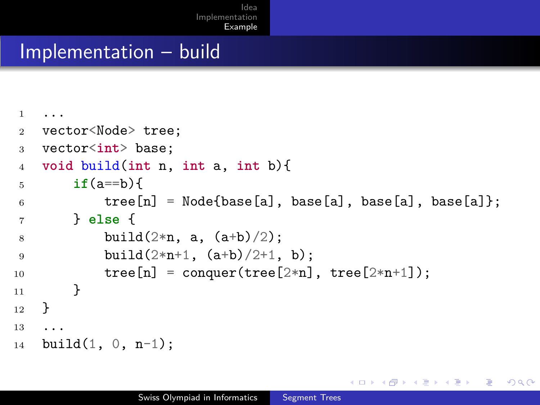#### Implementation – build

```
1 ...
2 vector<Node> tree;
3 vector<int> base;
4 void build(int n, int a, int b){
5 if(a==b){
6 tree[n] = Node{base[a]}, base[a], base[a], base[a];
7 } else {
8 build(2*n, a, (a+b)/2);
9 build(2*n+1, (a+b)/2+1, b);10 \text{tree}[n] = \text{conquer}(\text{tree}[2*n], \text{tree}[2*n+1]);11 }
12 \frac{1}{2}13 ...
14 build(1, 0, n-1);
```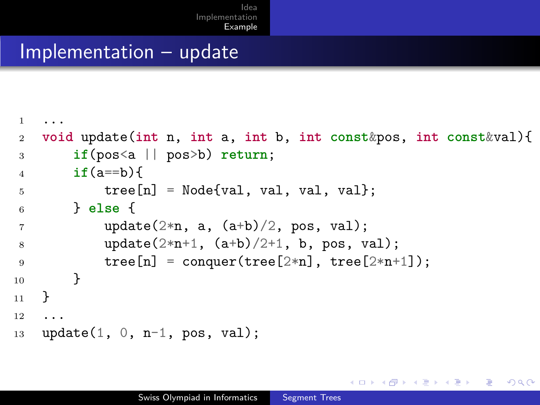#### Implementation – update

```
1 ...
2 void update(int n, int a, int b, int const&pos, int const&val){
3 if(pos<a || pos>b) return;
4 if(a==b){
5 tree[n] = Node{val, val, val, val};
6 } else {
\gamma update(2*n, a, (a+b)/2, pos, val);
8 update(2*n+1, (a+b)/2+1, b, pos, val);
9 \text{tree}[n] = \text{conquer}(\text{tree}[2*n], \text{tree}[2*n+1]);10 }
11 }
12 ...
13 update(1, 0, n-1, pos, val);
```
 $\Omega$